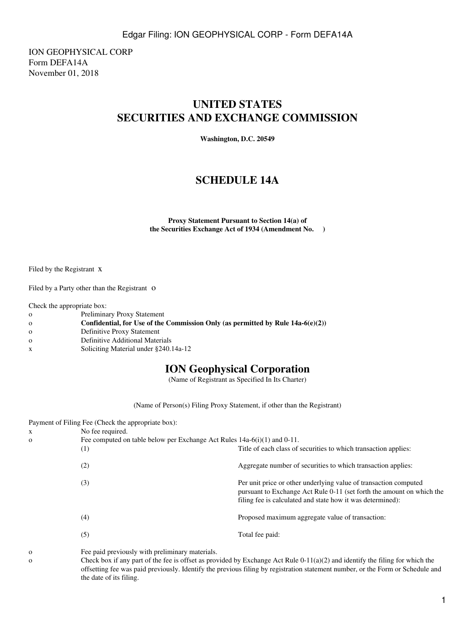ION GEOPHYSICAL CORP Form DEFA14A November 01, 2018

# **UNITED STATES SECURITIES AND EXCHANGE COMMISSION**

**Washington, D.C. 20549**

## **SCHEDULE 14A**

**Proxy Statement Pursuant to Section 14(a) of the Securities Exchange Act of 1934 (Amendment No. )**

Filed by the Registrant x

Filed by a Party other than the Registrant O

Check the appropriate box:

- o Preliminary Proxy Statement
- o **Confidential, for Use of the Commission Only (as permitted by Rule 14a-6(e)(2))**
- o Definitive Proxy Statement
- o Definitive Additional Materials
- x Soliciting Material under §240.14a-12

### **ION Geophysical Corporation**

(Name of Registrant as Specified In Its Charter)

(Name of Person(s) Filing Proxy Statement, if other than the Registrant)

| X<br>$\mathbf{O}$ | Payment of Filing Fee (Check the appropriate box):<br>No fee required.<br>Fee computed on table below per Exchange Act Rules $14a-6(i)(1)$ and $0-11$ . |                                                                                                                                                                                                         |
|-------------------|---------------------------------------------------------------------------------------------------------------------------------------------------------|---------------------------------------------------------------------------------------------------------------------------------------------------------------------------------------------------------|
|                   | (1)                                                                                                                                                     | Title of each class of securities to which transaction applies:                                                                                                                                         |
|                   | (2)                                                                                                                                                     | Aggregate number of securities to which transaction applies:                                                                                                                                            |
|                   | (3)                                                                                                                                                     | Per unit price or other underlying value of transaction computed<br>pursuant to Exchange Act Rule 0-11 (set forth the amount on which the<br>filing fee is calculated and state how it was determined): |
|                   | (4)                                                                                                                                                     | Proposed maximum aggregate value of transaction:                                                                                                                                                        |
|                   | (5)                                                                                                                                                     | Total fee paid:                                                                                                                                                                                         |
|                   |                                                                                                                                                         |                                                                                                                                                                                                         |

o Fee paid previously with preliminary materials.

o Check box if any part of the fee is offset as provided by Exchange Act Rule 0-11(a)(2) and identify the filing for which the offsetting fee was paid previously. Identify the previous filing by registration statement number, or the Form or Schedule and the date of its filing.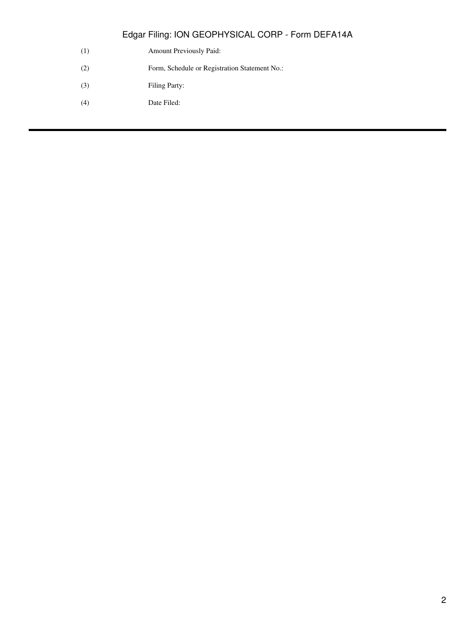- (1) Amount Previously Paid:
- (2) Form, Schedule or Registration Statement No.:
- (3) Filing Party:
- (4) Date Filed: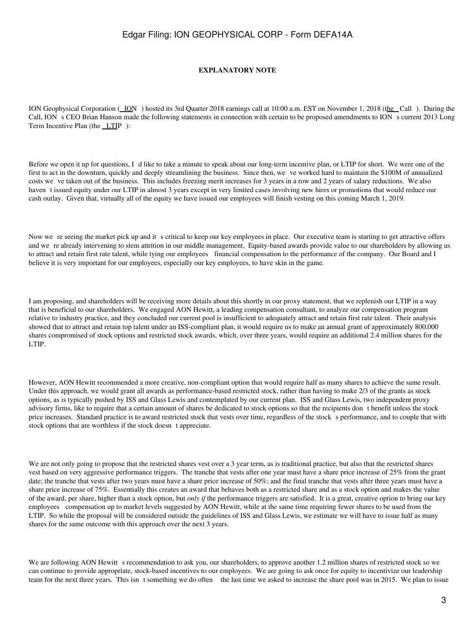#### **EXPLANATORY NOTE**

ION Geophysical Corporation (ION) hosted its 3rd Quarter 2018 earnings call at 10:00 a.m. EST on November 1, 2018 (the Call). During the Call, ION s CEO Brian Hanson made the following statements in connection with certain to be proposed amendments to ION s current 2013 Long Term Incentive Plan (the LTIP):

Before we open it up for questions, I d like to take a minute to speak about our long-term incentive plan, or LTIP for short. We were one of the first to act in the downturn, quickly and deeply streamlining the business. Since then, we ve worked hard to maintain the \$100M of annualized costs we ve taken out of the business. This includes freezing merit increases for 3 years in a row and 2 years of salary reductions. We also haven t issued equity under our LTIP in almost 3 years except in very limited cases involving new hires or promotions that would reduce our cash outlay. Given that, virtually all of the equity we have issued our employees will finish vesting on this coming March 1, 2019.

Now we re seeing the market pick up and it s critical to keep our key employees in place. Our executive team is starting to get attractive offers and we re already intervening to stem attrition in our middle management. Equity-based awards provide value to our shareholders by allowing us to attract and retain first rate talent, while tying our employees financial compensation to the performance of the company. Our Board and I believe it is very important for our employees, especially our key employees, to have skin in the game.

I am proposing, and shareholders will be receiving more details about this shortly in our proxy statement, that we replenish our LTIP in a way that is beneficial to our shareholders. We engaged AON Hewitt, a leading compensation consultant, to analyze our compensation program relative to industry practice, and they concluded our current pool is insufficient to adequately attract and retain first rate talent. Their analysis showed that to attract and retain top talent under an ISS-compliant plan, it would require us to make an annual grant of approximately 800,000 shares compromised of stock options and restricted stock awards, which, over three years, would require an additional 2.4 million shares for the LTIP.

However, AON Hewitt recommended a more creative, non-compliant option that would require half as many shares to achieve the same result. Under this approach, we would grant all awards as performance-based restricted stock, rather than having to make 2/3 of the grants as stock options, as is typically pushed by ISS and Glass Lewis and contemplated by our current plan. ISS and Glass Lewis, two independent proxy advisory firms, like to require that a certain amount of shares be dedicated to stock options so that the recipients dont benefit unless the stock price increases. Standard practice is to award restricted stock that vests over time, regardless of the stock s performance, and to couple that with stock options that are worthless if the stock doesn t appreciate.

We are not only going to propose that the restricted shares vest over a 3 year term, as is traditional practice, but also that the restricted shares vest based on very aggressive performance triggers. The tranche that vests after one year must have a share price increase of 25% from the grant date; the tranche that vests after two years must have a share price increase of 50%; and the final tranche that vests after three years must have a share price increase of 75%. Essentially this creates an award that behaves both as a restricted share and as a stock option and makes the value of the award, per share, higher than a stock option, but *only if* the performance triggers are satisfied. It is a great, creative option to bring our key employees compensation up to market levels suggested by AON Hewitt, while at the same time requiring fewer shares to be used from the LTIP. So while the proposal will be considered outside the guidelines of ISS and Glass Lewis, we estimate we will have to issue half as many shares for the same outcome with this approach over the next 3 years.

We are following AON Hewitt s recommendation to ask you, our shareholders, to approve another 1.2 million shares of restricted stock so we can continue to provide appropriate, stock-based incentives to our employees. We are going to ask once for equity to incentivize our leadership team for the next three years. This isnt something we do often the last time we asked to increase the share pool was in 2015. We plan to issue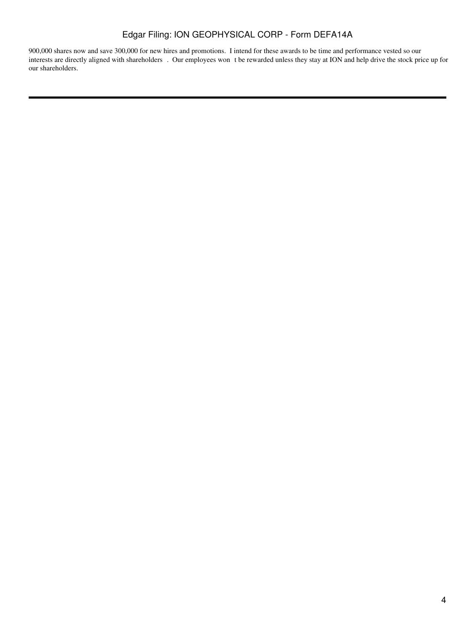900,000 shares now and save 300,000 for new hires and promotions. I intend for these awards to be time and performance vested so our interests are directly aligned with shareholders. Our employees wont be rewarded unless they stay at ION and help drive the stock price up for our shareholders.